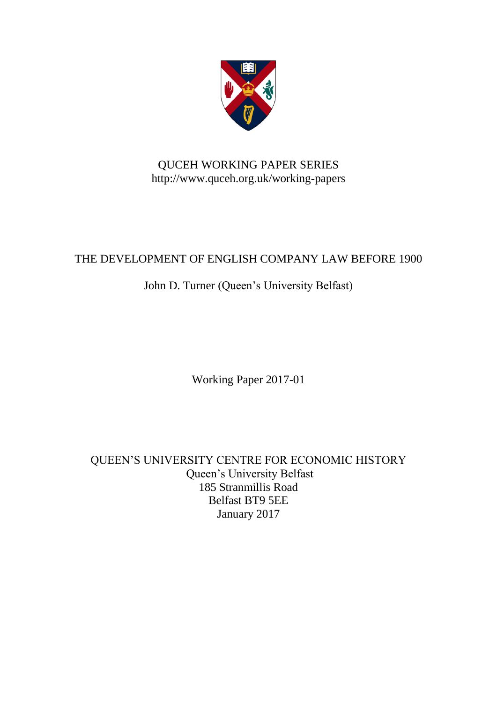

# QUCEH WORKING PAPER SERIES http://www.quceh.org.uk/working-papers

# THE DEVELOPMENT OF ENGLISH COMPANY LAW BEFORE 1900

# John D. Turner (Queen's University Belfast)

Working Paper 2017-01

QUEEN'S UNIVERSITY CENTRE FOR ECONOMIC HISTORY Queen's University Belfast 185 Stranmillis Road Belfast BT9 5EE January 2017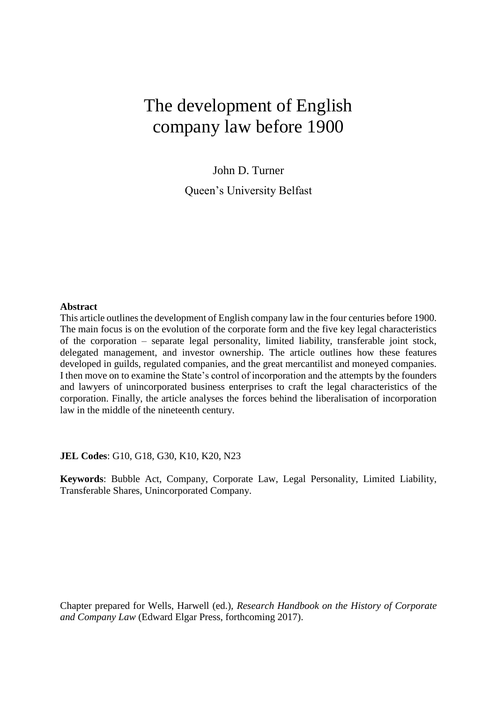# The development of English company law before 1900

John D. Turner Queen's University Belfast

#### **Abstract**

This article outlines the development of English company law in the four centuries before 1900. The main focus is on the evolution of the corporate form and the five key legal characteristics of the corporation – separate legal personality, limited liability, transferable joint stock, delegated management, and investor ownership. The article outlines how these features developed in guilds, regulated companies, and the great mercantilist and moneyed companies. I then move on to examine the State's control of incorporation and the attempts by the founders and lawyers of unincorporated business enterprises to craft the legal characteristics of the corporation. Finally, the article analyses the forces behind the liberalisation of incorporation law in the middle of the nineteenth century.

**JEL Codes**: G10, G18, G30, K10, K20, N23

**Keywords**: Bubble Act, Company, Corporate Law, Legal Personality, Limited Liability, Transferable Shares, Unincorporated Company.

Chapter prepared for Wells, Harwell (ed.), *Research Handbook on the History of Corporate and Company Law* (Edward Elgar Press, forthcoming 2017).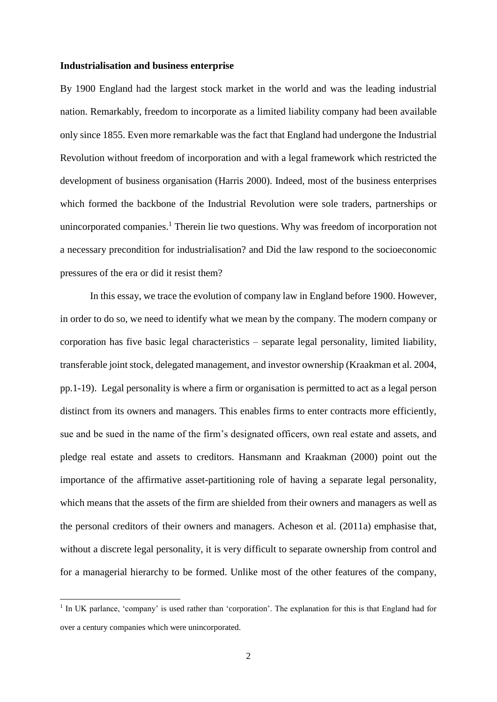#### **Industrialisation and business enterprise**

By 1900 England had the largest stock market in the world and was the leading industrial nation. Remarkably, freedom to incorporate as a limited liability company had been available only since 1855. Even more remarkable was the fact that England had undergone the Industrial Revolution without freedom of incorporation and with a legal framework which restricted the development of business organisation (Harris 2000). Indeed, most of the business enterprises which formed the backbone of the Industrial Revolution were sole traders, partnerships or unincorporated companies. <sup>1</sup> Therein lie two questions. Why was freedom of incorporation not a necessary precondition for industrialisation? and Did the law respond to the socioeconomic pressures of the era or did it resist them?

In this essay, we trace the evolution of company law in England before 1900. However, in order to do so, we need to identify what we mean by the company. The modern company or corporation has five basic legal characteristics – separate legal personality, limited liability, transferable joint stock, delegated management, and investor ownership (Kraakman et al. 2004, pp.1-19). Legal personality is where a firm or organisation is permitted to act as a legal person distinct from its owners and managers. This enables firms to enter contracts more efficiently, sue and be sued in the name of the firm's designated officers, own real estate and assets, and pledge real estate and assets to creditors. Hansmann and Kraakman (2000) point out the importance of the affirmative asset-partitioning role of having a separate legal personality, which means that the assets of the firm are shielded from their owners and managers as well as the personal creditors of their owners and managers. Acheson et al. (2011a) emphasise that, without a discrete legal personality, it is very difficult to separate ownership from control and for a managerial hierarchy to be formed. Unlike most of the other features of the company,

**.** 

<sup>&</sup>lt;sup>1</sup> In UK parlance, 'company' is used rather than 'corporation'. The explanation for this is that England had for over a century companies which were unincorporated.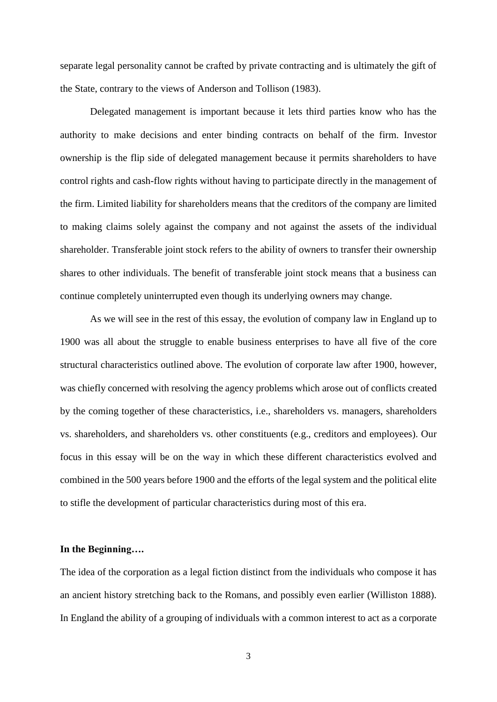separate legal personality cannot be crafted by private contracting and is ultimately the gift of the State, contrary to the views of Anderson and Tollison (1983).

Delegated management is important because it lets third parties know who has the authority to make decisions and enter binding contracts on behalf of the firm. Investor ownership is the flip side of delegated management because it permits shareholders to have control rights and cash-flow rights without having to participate directly in the management of the firm. Limited liability for shareholders means that the creditors of the company are limited to making claims solely against the company and not against the assets of the individual shareholder. Transferable joint stock refers to the ability of owners to transfer their ownership shares to other individuals. The benefit of transferable joint stock means that a business can continue completely uninterrupted even though its underlying owners may change.

As we will see in the rest of this essay, the evolution of company law in England up to 1900 was all about the struggle to enable business enterprises to have all five of the core structural characteristics outlined above. The evolution of corporate law after 1900, however, was chiefly concerned with resolving the agency problems which arose out of conflicts created by the coming together of these characteristics, i.e., shareholders vs. managers, shareholders vs. shareholders, and shareholders vs. other constituents (e.g., creditors and employees). Our focus in this essay will be on the way in which these different characteristics evolved and combined in the 500 years before 1900 and the efforts of the legal system and the political elite to stifle the development of particular characteristics during most of this era.

### **In the Beginning….**

The idea of the corporation as a legal fiction distinct from the individuals who compose it has an ancient history stretching back to the Romans, and possibly even earlier (Williston 1888). In England the ability of a grouping of individuals with a common interest to act as a corporate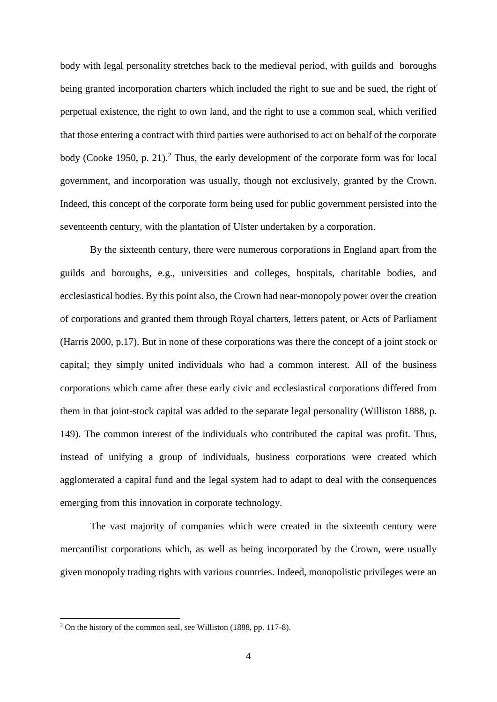body with legal personality stretches back to the medieval period, with guilds and boroughs being granted incorporation charters which included the right to sue and be sued, the right of perpetual existence, the right to own land, and the right to use a common seal, which verified that those entering a contract with third parties were authorised to act on behalf of the corporate body (Cooke 1950, p. 21). <sup>2</sup> Thus, the early development of the corporate form was for local government, and incorporation was usually, though not exclusively, granted by the Crown. Indeed, this concept of the corporate form being used for public government persisted into the seventeenth century, with the plantation of Ulster undertaken by a corporation.

By the sixteenth century, there were numerous corporations in England apart from the guilds and boroughs, e.g., universities and colleges, hospitals, charitable bodies, and ecclesiastical bodies. By this point also, the Crown had near-monopoly power over the creation of corporations and granted them through Royal charters, letters patent, or Acts of Parliament (Harris 2000, p.17). But in none of these corporations was there the concept of a joint stock or capital; they simply united individuals who had a common interest. All of the business corporations which came after these early civic and ecclesiastical corporations differed from them in that joint-stock capital was added to the separate legal personality (Williston 1888, p. 149). The common interest of the individuals who contributed the capital was profit. Thus, instead of unifying a group of individuals, business corporations were created which agglomerated a capital fund and the legal system had to adapt to deal with the consequences emerging from this innovation in corporate technology.

The vast majority of companies which were created in the sixteenth century were mercantilist corporations which, as well as being incorporated by the Crown, were usually given monopoly trading rights with various countries. Indeed, monopolistic privileges were an

**.** 

<sup>2</sup> On the history of the common seal, see Williston (1888, pp. 117-8).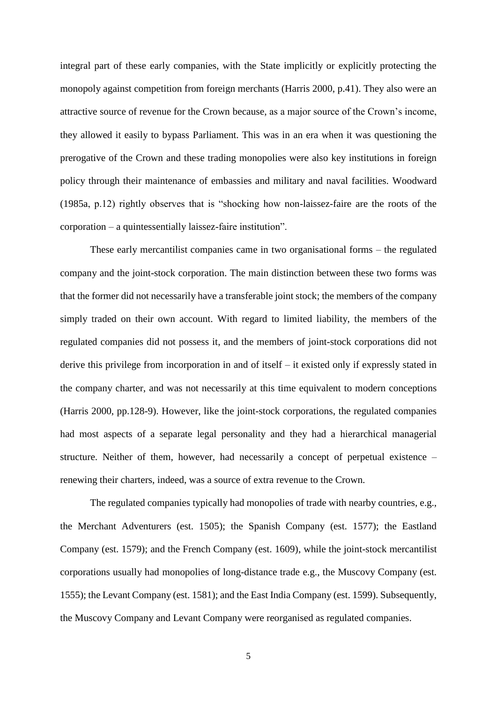integral part of these early companies, with the State implicitly or explicitly protecting the monopoly against competition from foreign merchants (Harris 2000, p.41). They also were an attractive source of revenue for the Crown because, as a major source of the Crown's income, they allowed it easily to bypass Parliament. This was in an era when it was questioning the prerogative of the Crown and these trading monopolies were also key institutions in foreign policy through their maintenance of embassies and military and naval facilities. Woodward (1985a, p.12) rightly observes that is "shocking how non-laissez-faire are the roots of the corporation – a quintessentially laissez-faire institution".

These early mercantilist companies came in two organisational forms – the regulated company and the joint-stock corporation. The main distinction between these two forms was that the former did not necessarily have a transferable joint stock; the members of the company simply traded on their own account. With regard to limited liability, the members of the regulated companies did not possess it, and the members of joint-stock corporations did not derive this privilege from incorporation in and of itself – it existed only if expressly stated in the company charter, and was not necessarily at this time equivalent to modern conceptions (Harris 2000, pp.128-9). However, like the joint-stock corporations, the regulated companies had most aspects of a separate legal personality and they had a hierarchical managerial structure. Neither of them, however, had necessarily a concept of perpetual existence – renewing their charters, indeed, was a source of extra revenue to the Crown.

The regulated companies typically had monopolies of trade with nearby countries, e.g., the Merchant Adventurers (est. 1505); the Spanish Company (est. 1577); the Eastland Company (est. 1579); and the French Company (est. 1609), while the joint-stock mercantilist corporations usually had monopolies of long-distance trade e.g., the Muscovy Company (est. 1555); the Levant Company (est. 1581); and the East India Company (est. 1599). Subsequently, the Muscovy Company and Levant Company were reorganised as regulated companies.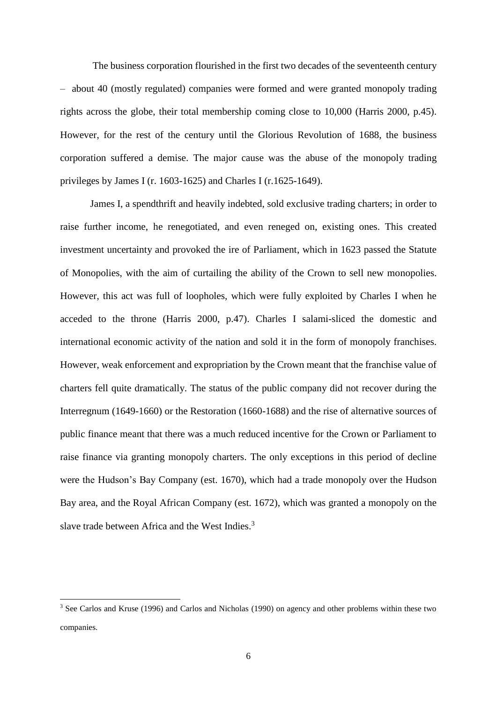The business corporation flourished in the first two decades of the seventeenth century – about 40 (mostly regulated) companies were formed and were granted monopoly trading rights across the globe, their total membership coming close to 10,000 (Harris 2000, p.45). However, for the rest of the century until the Glorious Revolution of 1688, the business corporation suffered a demise. The major cause was the abuse of the monopoly trading privileges by James I (r. 1603-1625) and Charles I (r.1625-1649).

James I, a spendthrift and heavily indebted, sold exclusive trading charters; in order to raise further income, he renegotiated, and even reneged on, existing ones. This created investment uncertainty and provoked the ire of Parliament, which in 1623 passed the Statute of Monopolies, with the aim of curtailing the ability of the Crown to sell new monopolies. However, this act was full of loopholes, which were fully exploited by Charles I when he acceded to the throne (Harris 2000, p.47). Charles I salami-sliced the domestic and international economic activity of the nation and sold it in the form of monopoly franchises. However, weak enforcement and expropriation by the Crown meant that the franchise value of charters fell quite dramatically. The status of the public company did not recover during the Interregnum (1649-1660) or the Restoration (1660-1688) and the rise of alternative sources of public finance meant that there was a much reduced incentive for the Crown or Parliament to raise finance via granting monopoly charters. The only exceptions in this period of decline were the Hudson's Bay Company (est. 1670), which had a trade monopoly over the Hudson Bay area, and the Royal African Company (est. 1672), which was granted a monopoly on the slave trade between Africa and the West Indies.<sup>3</sup>

**.** 

<sup>&</sup>lt;sup>3</sup> See Carlos and Kruse (1996) and Carlos and Nicholas (1990) on agency and other problems within these two companies.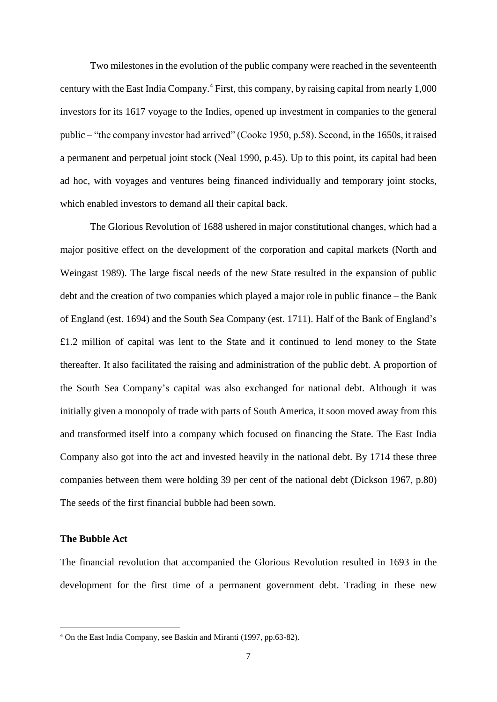Two milestones in the evolution of the public company were reached in the seventeenth century with the East India Company. <sup>4</sup> First, this company, by raising capital from nearly 1,000 investors for its 1617 voyage to the Indies, opened up investment in companies to the general public – "the company investor had arrived" (Cooke 1950, p.58). Second, in the 1650s, it raised a permanent and perpetual joint stock (Neal 1990, p.45). Up to this point, its capital had been ad hoc, with voyages and ventures being financed individually and temporary joint stocks, which enabled investors to demand all their capital back.

The Glorious Revolution of 1688 ushered in major constitutional changes, which had a major positive effect on the development of the corporation and capital markets (North and Weingast 1989). The large fiscal needs of the new State resulted in the expansion of public debt and the creation of two companies which played a major role in public finance – the Bank of England (est. 1694) and the South Sea Company (est. 1711). Half of the Bank of England's £1.2 million of capital was lent to the State and it continued to lend money to the State thereafter. It also facilitated the raising and administration of the public debt. A proportion of the South Sea Company's capital was also exchanged for national debt. Although it was initially given a monopoly of trade with parts of South America, it soon moved away from this and transformed itself into a company which focused on financing the State. The East India Company also got into the act and invested heavily in the national debt. By 1714 these three companies between them were holding 39 per cent of the national debt (Dickson 1967, p.80) The seeds of the first financial bubble had been sown.

#### **The Bubble Act**

**.** 

The financial revolution that accompanied the Glorious Revolution resulted in 1693 in the development for the first time of a permanent government debt. Trading in these new

<sup>4</sup> On the East India Company, see Baskin and Miranti (1997, pp.63-82).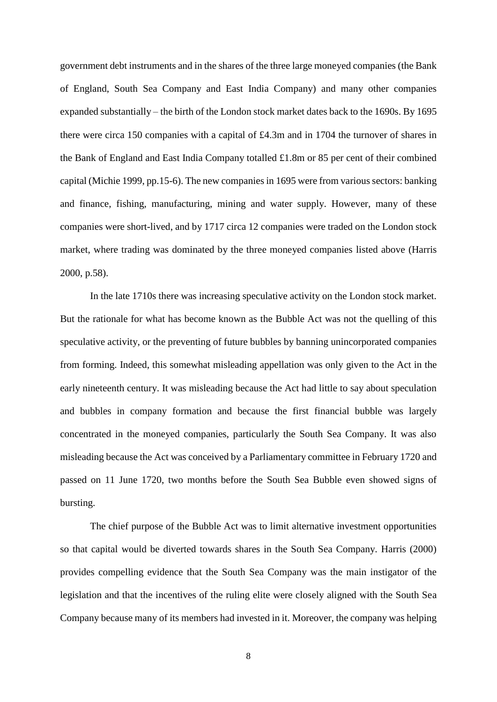government debt instruments and in the shares of the three large moneyed companies (the Bank of England, South Sea Company and East India Company) and many other companies expanded substantially – the birth of the London stock market dates back to the 1690s. By 1695 there were circa 150 companies with a capital of £4.3m and in 1704 the turnover of shares in the Bank of England and East India Company totalled £1.8m or 85 per cent of their combined capital (Michie 1999, pp.15-6). The new companies in 1695 were from various sectors: banking and finance, fishing, manufacturing, mining and water supply. However, many of these companies were short-lived, and by 1717 circa 12 companies were traded on the London stock market, where trading was dominated by the three moneyed companies listed above (Harris 2000, p.58).

In the late 1710s there was increasing speculative activity on the London stock market. But the rationale for what has become known as the Bubble Act was not the quelling of this speculative activity, or the preventing of future bubbles by banning unincorporated companies from forming. Indeed, this somewhat misleading appellation was only given to the Act in the early nineteenth century. It was misleading because the Act had little to say about speculation and bubbles in company formation and because the first financial bubble was largely concentrated in the moneyed companies, particularly the South Sea Company. It was also misleading because the Act was conceived by a Parliamentary committee in February 1720 and passed on 11 June 1720, two months before the South Sea Bubble even showed signs of bursting.

The chief purpose of the Bubble Act was to limit alternative investment opportunities so that capital would be diverted towards shares in the South Sea Company. Harris (2000) provides compelling evidence that the South Sea Company was the main instigator of the legislation and that the incentives of the ruling elite were closely aligned with the South Sea Company because many of its members had invested in it. Moreover, the company was helping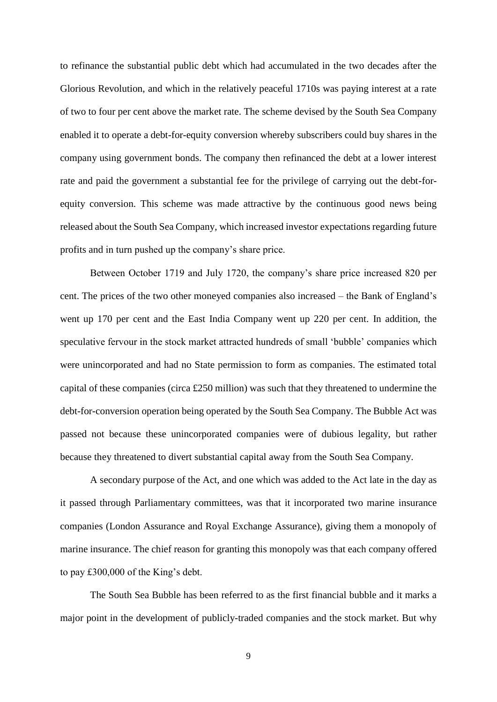to refinance the substantial public debt which had accumulated in the two decades after the Glorious Revolution, and which in the relatively peaceful 1710s was paying interest at a rate of two to four per cent above the market rate. The scheme devised by the South Sea Company enabled it to operate a debt-for-equity conversion whereby subscribers could buy shares in the company using government bonds. The company then refinanced the debt at a lower interest rate and paid the government a substantial fee for the privilege of carrying out the debt-forequity conversion. This scheme was made attractive by the continuous good news being released about the South Sea Company, which increased investor expectations regarding future profits and in turn pushed up the company's share price.

Between October 1719 and July 1720, the company's share price increased 820 per cent. The prices of the two other moneyed companies also increased – the Bank of England's went up 170 per cent and the East India Company went up 220 per cent. In addition, the speculative fervour in the stock market attracted hundreds of small 'bubble' companies which were unincorporated and had no State permission to form as companies. The estimated total capital of these companies (circa £250 million) was such that they threatened to undermine the debt-for-conversion operation being operated by the South Sea Company. The Bubble Act was passed not because these unincorporated companies were of dubious legality, but rather because they threatened to divert substantial capital away from the South Sea Company.

A secondary purpose of the Act, and one which was added to the Act late in the day as it passed through Parliamentary committees, was that it incorporated two marine insurance companies (London Assurance and Royal Exchange Assurance), giving them a monopoly of marine insurance. The chief reason for granting this monopoly was that each company offered to pay £300,000 of the King's debt.

The South Sea Bubble has been referred to as the first financial bubble and it marks a major point in the development of publicly-traded companies and the stock market. But why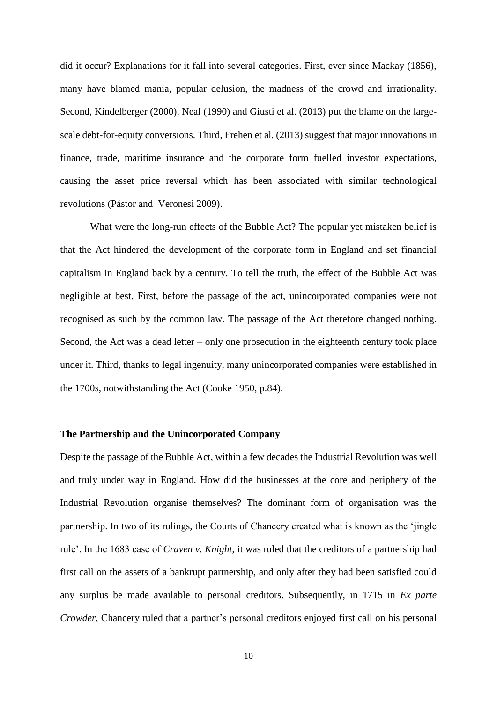did it occur? Explanations for it fall into several categories. First, ever since Mackay (1856), many have blamed mania, popular delusion, the madness of the crowd and irrationality. Second, Kindelberger (2000), Neal (1990) and Giusti et al. (2013) put the blame on the largescale debt-for-equity conversions. Third, Frehen et al. (2013) suggest that major innovations in finance, trade, maritime insurance and the corporate form fuelled investor expectations, causing the asset price reversal which has been associated with similar technological revolutions (Pástor and Veronesi 2009).

What were the long-run effects of the Bubble Act? The popular yet mistaken belief is that the Act hindered the development of the corporate form in England and set financial capitalism in England back by a century. To tell the truth, the effect of the Bubble Act was negligible at best. First, before the passage of the act, unincorporated companies were not recognised as such by the common law. The passage of the Act therefore changed nothing. Second, the Act was a dead letter – only one prosecution in the eighteenth century took place under it. Third, thanks to legal ingenuity, many unincorporated companies were established in the 1700s, notwithstanding the Act (Cooke 1950, p.84).

## **The Partnership and the Unincorporated Company**

Despite the passage of the Bubble Act, within a few decades the Industrial Revolution was well and truly under way in England. How did the businesses at the core and periphery of the Industrial Revolution organise themselves? The dominant form of organisation was the partnership. In two of its rulings, the Courts of Chancery created what is known as the 'jingle rule'. In the 1683 case of *Craven v. Knight*, it was ruled that the creditors of a partnership had first call on the assets of a bankrupt partnership, and only after they had been satisfied could any surplus be made available to personal creditors. Subsequently, in 1715 in *Ex parte Crowder*, Chancery ruled that a partner's personal creditors enjoyed first call on his personal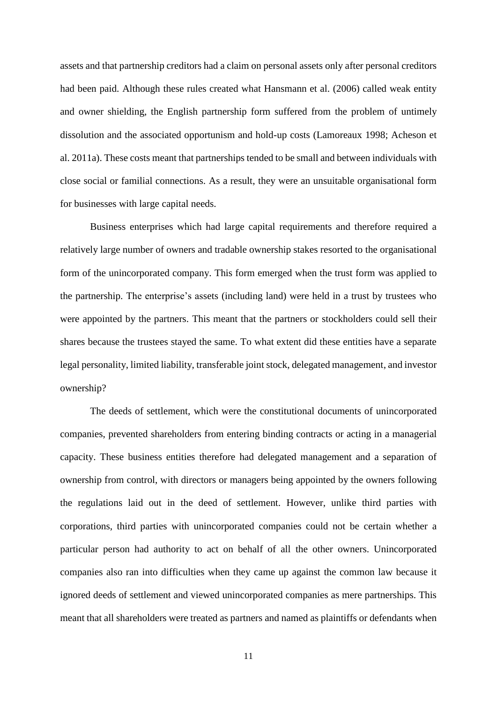assets and that partnership creditors had a claim on personal assets only after personal creditors had been paid. Although these rules created what Hansmann et al. (2006) called weak entity and owner shielding, the English partnership form suffered from the problem of untimely dissolution and the associated opportunism and hold-up costs (Lamoreaux 1998; Acheson et al. 2011a). These costs meant that partnerships tended to be small and between individuals with close social or familial connections. As a result, they were an unsuitable organisational form for businesses with large capital needs.

Business enterprises which had large capital requirements and therefore required a relatively large number of owners and tradable ownership stakes resorted to the organisational form of the unincorporated company. This form emerged when the trust form was applied to the partnership. The enterprise's assets (including land) were held in a trust by trustees who were appointed by the partners. This meant that the partners or stockholders could sell their shares because the trustees stayed the same. To what extent did these entities have a separate legal personality, limited liability, transferable joint stock, delegated management, and investor ownership?

The deeds of settlement, which were the constitutional documents of unincorporated companies, prevented shareholders from entering binding contracts or acting in a managerial capacity. These business entities therefore had delegated management and a separation of ownership from control, with directors or managers being appointed by the owners following the regulations laid out in the deed of settlement. However, unlike third parties with corporations, third parties with unincorporated companies could not be certain whether a particular person had authority to act on behalf of all the other owners. Unincorporated companies also ran into difficulties when they came up against the common law because it ignored deeds of settlement and viewed unincorporated companies as mere partnerships. This meant that all shareholders were treated as partners and named as plaintiffs or defendants when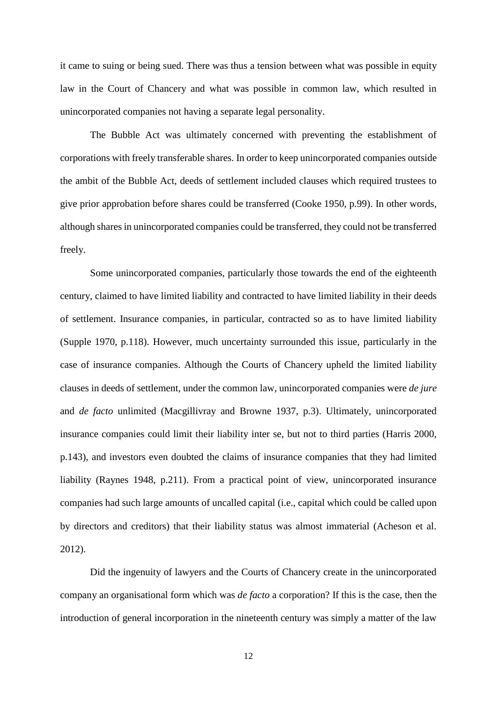it came to suing or being sued. There was thus a tension between what was possible in equity law in the Court of Chancery and what was possible in common law, which resulted in unincorporated companies not having a separate legal personality.

The Bubble Act was ultimately concerned with preventing the establishment of corporations with freely transferable shares. In order to keep unincorporated companies outside the ambit of the Bubble Act, deeds of settlement included clauses which required trustees to give prior approbation before shares could be transferred (Cooke 1950, p.99). In other words, although shares in unincorporated companies could be transferred, they could not be transferred freely.

Some unincorporated companies, particularly those towards the end of the eighteenth century, claimed to have limited liability and contracted to have limited liability in their deeds of settlement. Insurance companies, in particular, contracted so as to have limited liability (Supple 1970, p.118). However, much uncertainty surrounded this issue, particularly in the case of insurance companies. Although the Courts of Chancery upheld the limited liability clauses in deeds of settlement, under the common law, unincorporated companies were *de jure* and *de facto* unlimited (Macgillivray and Browne 1937, p.3). Ultimately, unincorporated insurance companies could limit their liability inter se, but not to third parties (Harris 2000, p.143), and investors even doubted the claims of insurance companies that they had limited liability (Raynes 1948, p.211). From a practical point of view, unincorporated insurance companies had such large amounts of uncalled capital (i.e., capital which could be called upon by directors and creditors) that their liability status was almost immaterial (Acheson et al. 2012).

Did the ingenuity of lawyers and the Courts of Chancery create in the unincorporated company an organisational form which was *de facto* a corporation? If this is the case, then the introduction of general incorporation in the nineteenth century was simply a matter of the law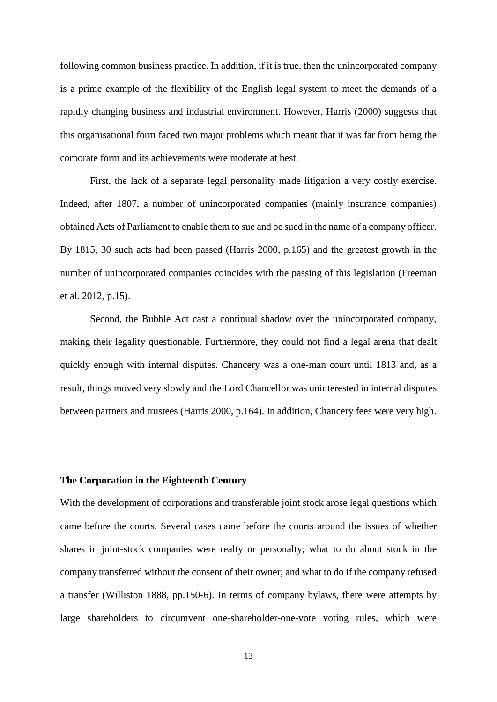following common business practice. In addition, if it is true, then the unincorporated company is a prime example of the flexibility of the English legal system to meet the demands of a rapidly changing business and industrial environment. However, Harris (2000) suggests that this organisational form faced two major problems which meant that it was far from being the corporate form and its achievements were moderate at best.

First, the lack of a separate legal personality made litigation a very costly exercise. Indeed, after 1807, a number of unincorporated companies (mainly insurance companies) obtained Acts of Parliament to enable them to sue and be sued in the name of a company officer. By 1815, 30 such acts had been passed (Harris 2000, p.165) and the greatest growth in the number of unincorporated companies coincides with the passing of this legislation (Freeman et al. 2012, p.15).

Second, the Bubble Act cast a continual shadow over the unincorporated company, making their legality questionable. Furthermore, they could not find a legal arena that dealt quickly enough with internal disputes. Chancery was a one-man court until 1813 and, as a result, things moved very slowly and the Lord Chancellor was uninterested in internal disputes between partners and trustees (Harris 2000, p.164). In addition, Chancery fees were very high.

## **The Corporation in the Eighteenth Century**

With the development of corporations and transferable joint stock arose legal questions which came before the courts. Several cases came before the courts around the issues of whether shares in joint-stock companies were realty or personalty; what to do about stock in the company transferred without the consent of their owner; and what to do if the company refused a transfer (Williston 1888, pp.150-6). In terms of company bylaws, there were attempts by large shareholders to circumvent one-shareholder-one-vote voting rules, which were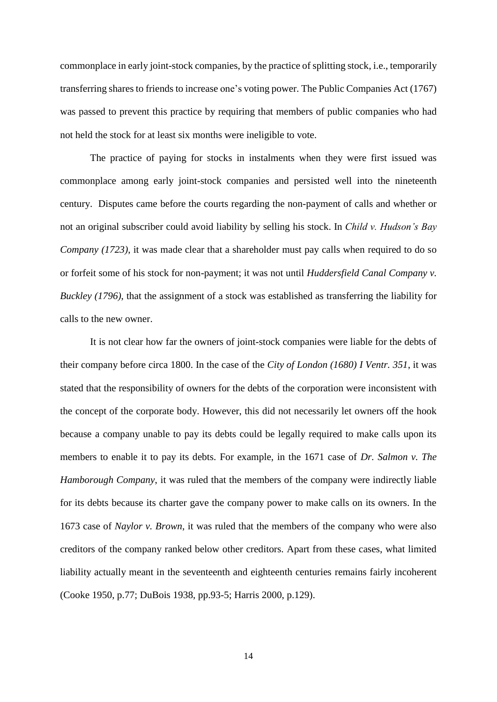commonplace in early joint-stock companies, by the practice of splitting stock, i.e., temporarily transferring shares to friends to increase one's voting power. The Public Companies Act (1767) was passed to prevent this practice by requiring that members of public companies who had not held the stock for at least six months were ineligible to vote.

The practice of paying for stocks in instalments when they were first issued was commonplace among early joint-stock companies and persisted well into the nineteenth century. Disputes came before the courts regarding the non-payment of calls and whether or not an original subscriber could avoid liability by selling his stock. In *Child v. Hudson's Bay Company (1723)*, it was made clear that a shareholder must pay calls when required to do so or forfeit some of his stock for non-payment; it was not until *Huddersfield Canal Company v. Buckley (1796)*, that the assignment of a stock was established as transferring the liability for calls to the new owner.

It is not clear how far the owners of joint-stock companies were liable for the debts of their company before circa 1800. In the case of the *City of London (1680) I Ventr. 351*, it was stated that the responsibility of owners for the debts of the corporation were inconsistent with the concept of the corporate body. However, this did not necessarily let owners off the hook because a company unable to pay its debts could be legally required to make calls upon its members to enable it to pay its debts. For example, in the 1671 case of *Dr. Salmon v. The Hamborough Company*, it was ruled that the members of the company were indirectly liable for its debts because its charter gave the company power to make calls on its owners. In the 1673 case of *Naylor v. Brown*, it was ruled that the members of the company who were also creditors of the company ranked below other creditors. Apart from these cases, what limited liability actually meant in the seventeenth and eighteenth centuries remains fairly incoherent (Cooke 1950, p.77; DuBois 1938, pp.93-5; Harris 2000, p.129).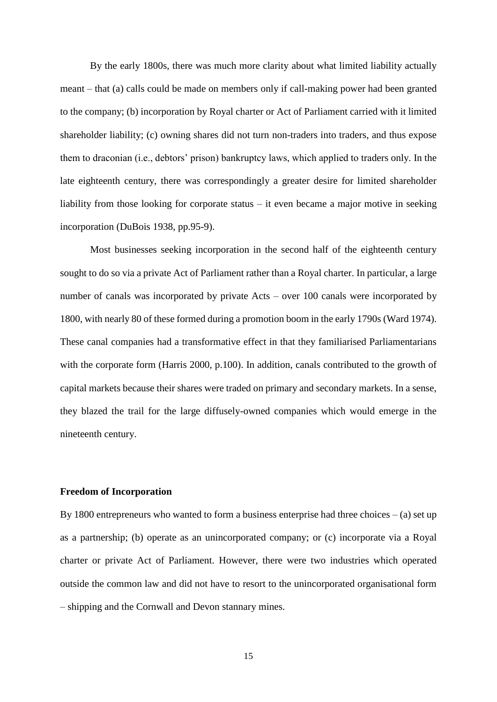By the early 1800s, there was much more clarity about what limited liability actually meant – that (a) calls could be made on members only if call-making power had been granted to the company; (b) incorporation by Royal charter or Act of Parliament carried with it limited shareholder liability; (c) owning shares did not turn non-traders into traders, and thus expose them to draconian (i.e., debtors' prison) bankruptcy laws, which applied to traders only. In the late eighteenth century, there was correspondingly a greater desire for limited shareholder liability from those looking for corporate status – it even became a major motive in seeking incorporation (DuBois 1938, pp.95-9).

Most businesses seeking incorporation in the second half of the eighteenth century sought to do so via a private Act of Parliament rather than a Royal charter. In particular, a large number of canals was incorporated by private Acts – over 100 canals were incorporated by 1800, with nearly 80 of these formed during a promotion boom in the early 1790s (Ward 1974). These canal companies had a transformative effect in that they familiarised Parliamentarians with the corporate form (Harris 2000, p.100). In addition, canals contributed to the growth of capital markets because their shares were traded on primary and secondary markets. In a sense, they blazed the trail for the large diffusely-owned companies which would emerge in the nineteenth century.

#### **Freedom of Incorporation**

By 1800 entrepreneurs who wanted to form a business enterprise had three choices  $-$  (a) set up as a partnership; (b) operate as an unincorporated company; or (c) incorporate via a Royal charter or private Act of Parliament. However, there were two industries which operated outside the common law and did not have to resort to the unincorporated organisational form – shipping and the Cornwall and Devon stannary mines.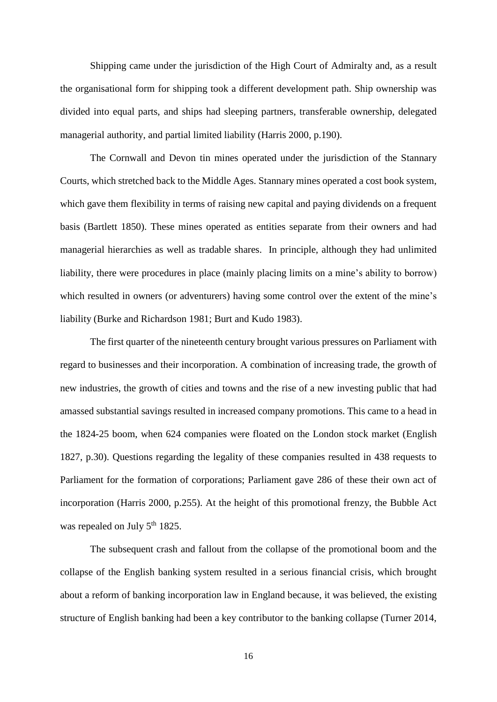Shipping came under the jurisdiction of the High Court of Admiralty and, as a result the organisational form for shipping took a different development path. Ship ownership was divided into equal parts, and ships had sleeping partners, transferable ownership, delegated managerial authority, and partial limited liability (Harris 2000, p.190).

The Cornwall and Devon tin mines operated under the jurisdiction of the Stannary Courts, which stretched back to the Middle Ages. Stannary mines operated a cost book system, which gave them flexibility in terms of raising new capital and paying dividends on a frequent basis (Bartlett 1850). These mines operated as entities separate from their owners and had managerial hierarchies as well as tradable shares. In principle, although they had unlimited liability, there were procedures in place (mainly placing limits on a mine's ability to borrow) which resulted in owners (or adventurers) having some control over the extent of the mine's liability (Burke and Richardson 1981; Burt and Kudo 1983).

The first quarter of the nineteenth century brought various pressures on Parliament with regard to businesses and their incorporation. A combination of increasing trade, the growth of new industries, the growth of cities and towns and the rise of a new investing public that had amassed substantial savings resulted in increased company promotions. This came to a head in the 1824-25 boom, when 624 companies were floated on the London stock market (English 1827, p.30). Questions regarding the legality of these companies resulted in 438 requests to Parliament for the formation of corporations; Parliament gave 286 of these their own act of incorporation (Harris 2000, p.255). At the height of this promotional frenzy, the Bubble Act was repealed on July 5<sup>th</sup> 1825.

The subsequent crash and fallout from the collapse of the promotional boom and the collapse of the English banking system resulted in a serious financial crisis, which brought about a reform of banking incorporation law in England because, it was believed, the existing structure of English banking had been a key contributor to the banking collapse (Turner 2014,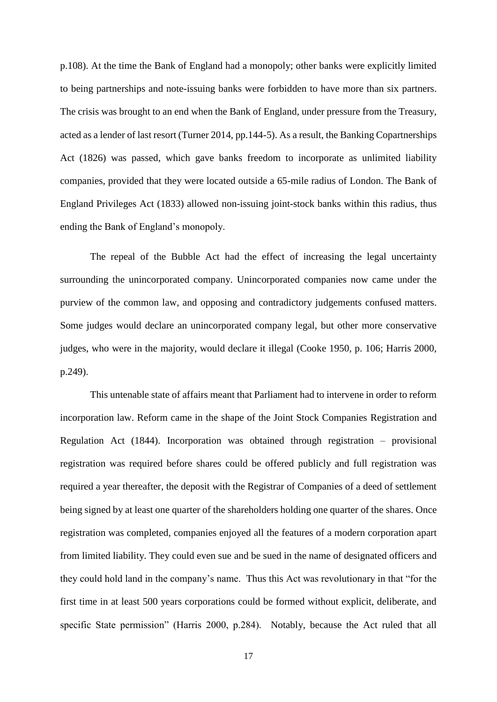p.108). At the time the Bank of England had a monopoly; other banks were explicitly limited to being partnerships and note-issuing banks were forbidden to have more than six partners. The crisis was brought to an end when the Bank of England, under pressure from the Treasury, acted as a lender of last resort (Turner 2014, pp.144-5). As a result, the Banking Copartnerships Act (1826) was passed, which gave banks freedom to incorporate as unlimited liability companies, provided that they were located outside a 65-mile radius of London. The Bank of England Privileges Act (1833) allowed non-issuing joint-stock banks within this radius, thus ending the Bank of England's monopoly.

The repeal of the Bubble Act had the effect of increasing the legal uncertainty surrounding the unincorporated company. Unincorporated companies now came under the purview of the common law, and opposing and contradictory judgements confused matters. Some judges would declare an unincorporated company legal, but other more conservative judges, who were in the majority, would declare it illegal (Cooke 1950, p. 106; Harris 2000, p.249).

This untenable state of affairs meant that Parliament had to intervene in order to reform incorporation law. Reform came in the shape of the Joint Stock Companies Registration and Regulation Act (1844). Incorporation was obtained through registration – provisional registration was required before shares could be offered publicly and full registration was required a year thereafter, the deposit with the Registrar of Companies of a deed of settlement being signed by at least one quarter of the shareholders holding one quarter of the shares. Once registration was completed, companies enjoyed all the features of a modern corporation apart from limited liability. They could even sue and be sued in the name of designated officers and they could hold land in the company's name. Thus this Act was revolutionary in that "for the first time in at least 500 years corporations could be formed without explicit, deliberate, and specific State permission" (Harris 2000, p.284). Notably, because the Act ruled that all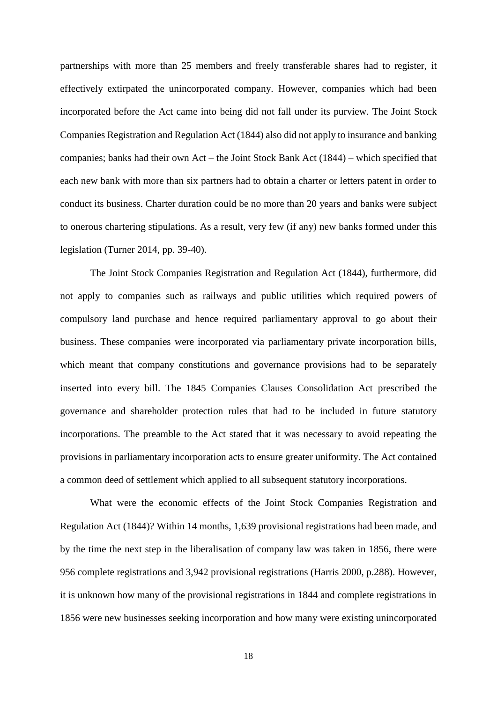partnerships with more than 25 members and freely transferable shares had to register, it effectively extirpated the unincorporated company. However, companies which had been incorporated before the Act came into being did not fall under its purview. The Joint Stock Companies Registration and Regulation Act (1844) also did not apply to insurance and banking companies; banks had their own Act – the Joint Stock Bank Act (1844) – which specified that each new bank with more than six partners had to obtain a charter or letters patent in order to conduct its business. Charter duration could be no more than 20 years and banks were subject to onerous chartering stipulations. As a result, very few (if any) new banks formed under this legislation (Turner 2014, pp. 39-40).

The Joint Stock Companies Registration and Regulation Act (1844), furthermore, did not apply to companies such as railways and public utilities which required powers of compulsory land purchase and hence required parliamentary approval to go about their business. These companies were incorporated via parliamentary private incorporation bills, which meant that company constitutions and governance provisions had to be separately inserted into every bill. The 1845 Companies Clauses Consolidation Act prescribed the governance and shareholder protection rules that had to be included in future statutory incorporations. The preamble to the Act stated that it was necessary to avoid repeating the provisions in parliamentary incorporation acts to ensure greater uniformity. The Act contained a common deed of settlement which applied to all subsequent statutory incorporations.

What were the economic effects of the Joint Stock Companies Registration and Regulation Act (1844)? Within 14 months, 1,639 provisional registrations had been made, and by the time the next step in the liberalisation of company law was taken in 1856, there were 956 complete registrations and 3,942 provisional registrations (Harris 2000, p.288). However, it is unknown how many of the provisional registrations in 1844 and complete registrations in 1856 were new businesses seeking incorporation and how many were existing unincorporated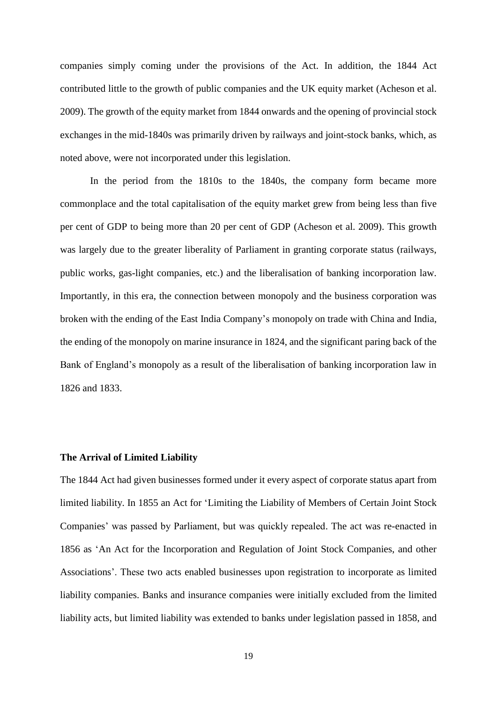companies simply coming under the provisions of the Act. In addition, the 1844 Act contributed little to the growth of public companies and the UK equity market (Acheson et al. 2009). The growth of the equity market from 1844 onwards and the opening of provincial stock exchanges in the mid-1840s was primarily driven by railways and joint-stock banks, which, as noted above, were not incorporated under this legislation.

In the period from the 1810s to the 1840s, the company form became more commonplace and the total capitalisation of the equity market grew from being less than five per cent of GDP to being more than 20 per cent of GDP (Acheson et al. 2009). This growth was largely due to the greater liberality of Parliament in granting corporate status (railways, public works, gas-light companies, etc.) and the liberalisation of banking incorporation law. Importantly, in this era, the connection between monopoly and the business corporation was broken with the ending of the East India Company's monopoly on trade with China and India, the ending of the monopoly on marine insurance in 1824, and the significant paring back of the Bank of England's monopoly as a result of the liberalisation of banking incorporation law in 1826 and 1833.

#### **The Arrival of Limited Liability**

The 1844 Act had given businesses formed under it every aspect of corporate status apart from limited liability. In 1855 an Act for 'Limiting the Liability of Members of Certain Joint Stock Companies' was passed by Parliament, but was quickly repealed. The act was re-enacted in 1856 as 'An Act for the Incorporation and Regulation of Joint Stock Companies, and other Associations'. These two acts enabled businesses upon registration to incorporate as limited liability companies. Banks and insurance companies were initially excluded from the limited liability acts, but limited liability was extended to banks under legislation passed in 1858, and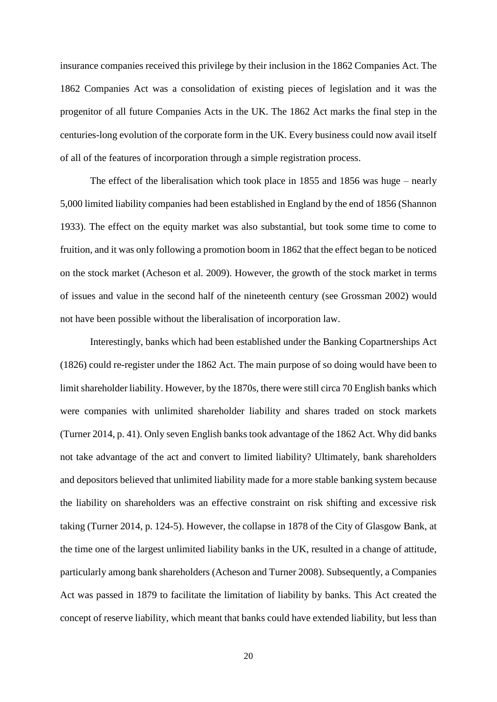insurance companies received this privilege by their inclusion in the 1862 Companies Act. The 1862 Companies Act was a consolidation of existing pieces of legislation and it was the progenitor of all future Companies Acts in the UK. The 1862 Act marks the final step in the centuries-long evolution of the corporate form in the UK. Every business could now avail itself of all of the features of incorporation through a simple registration process.

The effect of the liberalisation which took place in 1855 and 1856 was huge – nearly 5,000 limited liability companies had been established in England by the end of 1856 (Shannon 1933). The effect on the equity market was also substantial, but took some time to come to fruition, and it was only following a promotion boom in 1862 that the effect began to be noticed on the stock market (Acheson et al. 2009). However, the growth of the stock market in terms of issues and value in the second half of the nineteenth century (see Grossman 2002) would not have been possible without the liberalisation of incorporation law.

Interestingly, banks which had been established under the Banking Copartnerships Act (1826) could re-register under the 1862 Act. The main purpose of so doing would have been to limit shareholder liability. However, by the 1870s, there were still circa 70 English banks which were companies with unlimited shareholder liability and shares traded on stock markets (Turner 2014, p. 41). Only seven English banks took advantage of the 1862 Act. Why did banks not take advantage of the act and convert to limited liability? Ultimately, bank shareholders and depositors believed that unlimited liability made for a more stable banking system because the liability on shareholders was an effective constraint on risk shifting and excessive risk taking (Turner 2014, p. 124-5). However, the collapse in 1878 of the City of Glasgow Bank, at the time one of the largest unlimited liability banks in the UK, resulted in a change of attitude, particularly among bank shareholders (Acheson and Turner 2008). Subsequently, a Companies Act was passed in 1879 to facilitate the limitation of liability by banks. This Act created the concept of reserve liability, which meant that banks could have extended liability, but less than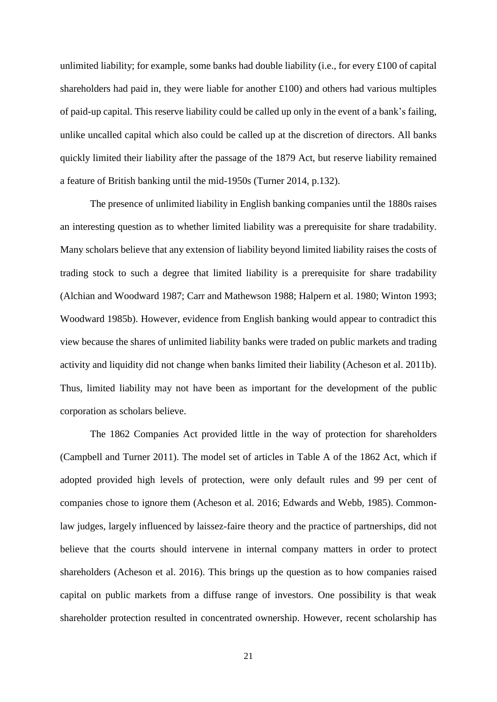unlimited liability; for example, some banks had double liability (i.e., for every £100 of capital shareholders had paid in, they were liable for another £100) and others had various multiples of paid-up capital. This reserve liability could be called up only in the event of a bank's failing, unlike uncalled capital which also could be called up at the discretion of directors. All banks quickly limited their liability after the passage of the 1879 Act, but reserve liability remained a feature of British banking until the mid-1950s (Turner 2014, p.132).

The presence of unlimited liability in English banking companies until the 1880s raises an interesting question as to whether limited liability was a prerequisite for share tradability. Many scholars believe that any extension of liability beyond limited liability raises the costs of trading stock to such a degree that limited liability is a prerequisite for share tradability (Alchian and Woodward 1987; Carr and Mathewson 1988; Halpern et al. 1980; Winton 1993; Woodward 1985b). However, evidence from English banking would appear to contradict this view because the shares of unlimited liability banks were traded on public markets and trading activity and liquidity did not change when banks limited their liability (Acheson et al. 2011b). Thus, limited liability may not have been as important for the development of the public corporation as scholars believe.

The 1862 Companies Act provided little in the way of protection for shareholders (Campbell and Turner 2011). The model set of articles in Table A of the 1862 Act, which if adopted provided high levels of protection, were only default rules and 99 per cent of companies chose to ignore them (Acheson et al. 2016; Edwards and Webb, 1985). Commonlaw judges, largely influenced by laissez-faire theory and the practice of partnerships, did not believe that the courts should intervene in internal company matters in order to protect shareholders (Acheson et al. 2016). This brings up the question as to how companies raised capital on public markets from a diffuse range of investors. One possibility is that weak shareholder protection resulted in concentrated ownership. However, recent scholarship has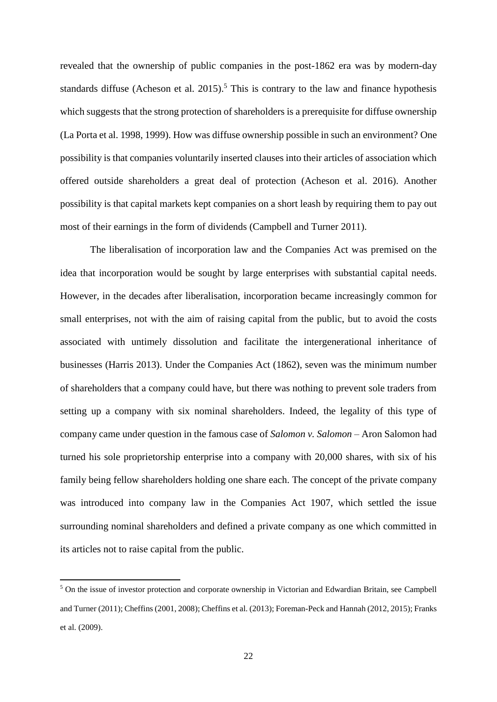revealed that the ownership of public companies in the post-1862 era was by modern-day standards diffuse (Acheson et al. 2015).<sup>5</sup> This is contrary to the law and finance hypothesis which suggests that the strong protection of shareholders is a prerequisite for diffuse ownership (La Porta et al. 1998, 1999). How was diffuse ownership possible in such an environment? One possibility is that companies voluntarily inserted clauses into their articles of association which offered outside shareholders a great deal of protection (Acheson et al. 2016). Another possibility is that capital markets kept companies on a short leash by requiring them to pay out most of their earnings in the form of dividends (Campbell and Turner 2011).

The liberalisation of incorporation law and the Companies Act was premised on the idea that incorporation would be sought by large enterprises with substantial capital needs. However, in the decades after liberalisation, incorporation became increasingly common for small enterprises, not with the aim of raising capital from the public, but to avoid the costs associated with untimely dissolution and facilitate the intergenerational inheritance of businesses (Harris 2013). Under the Companies Act (1862), seven was the minimum number of shareholders that a company could have, but there was nothing to prevent sole traders from setting up a company with six nominal shareholders. Indeed, the legality of this type of company came under question in the famous case of *Salomon v. Salomon* – Aron Salomon had turned his sole proprietorship enterprise into a company with 20,000 shares, with six of his family being fellow shareholders holding one share each. The concept of the private company was introduced into company law in the Companies Act 1907, which settled the issue surrounding nominal shareholders and defined a private company as one which committed in its articles not to raise capital from the public.

1

<sup>&</sup>lt;sup>5</sup> On the issue of investor protection and corporate ownership in Victorian and Edwardian Britain, see Campbell and Turner (2011); Cheffins (2001, 2008); Cheffins et al. (2013); Foreman-Peck and Hannah (2012, 2015); Franks et al. (2009).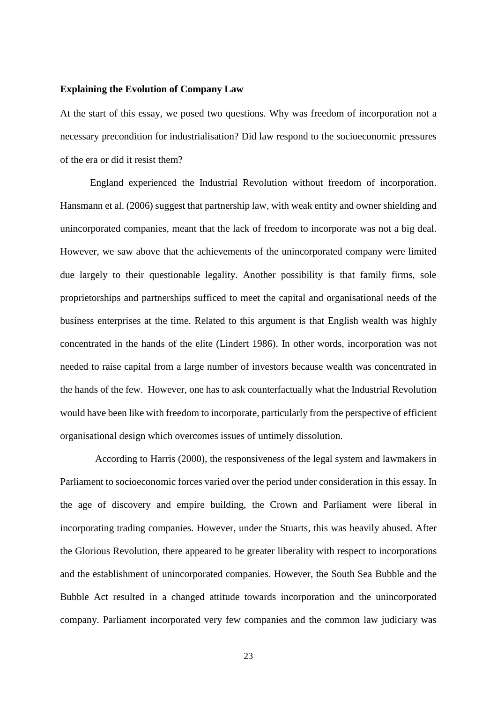#### **Explaining the Evolution of Company Law**

At the start of this essay, we posed two questions. Why was freedom of incorporation not a necessary precondition for industrialisation? Did law respond to the socioeconomic pressures of the era or did it resist them?

England experienced the Industrial Revolution without freedom of incorporation. Hansmann et al. (2006) suggest that partnership law, with weak entity and owner shielding and unincorporated companies, meant that the lack of freedom to incorporate was not a big deal. However, we saw above that the achievements of the unincorporated company were limited due largely to their questionable legality. Another possibility is that family firms, sole proprietorships and partnerships sufficed to meet the capital and organisational needs of the business enterprises at the time. Related to this argument is that English wealth was highly concentrated in the hands of the elite (Lindert 1986). In other words, incorporation was not needed to raise capital from a large number of investors because wealth was concentrated in the hands of the few. However, one has to ask counterfactually what the Industrial Revolution would have been like with freedom to incorporate, particularly from the perspective of efficient organisational design which overcomes issues of untimely dissolution.

 According to Harris (2000), the responsiveness of the legal system and lawmakers in Parliament to socioeconomic forces varied over the period under consideration in this essay. In the age of discovery and empire building, the Crown and Parliament were liberal in incorporating trading companies. However, under the Stuarts, this was heavily abused. After the Glorious Revolution, there appeared to be greater liberality with respect to incorporations and the establishment of unincorporated companies. However, the South Sea Bubble and the Bubble Act resulted in a changed attitude towards incorporation and the unincorporated company. Parliament incorporated very few companies and the common law judiciary was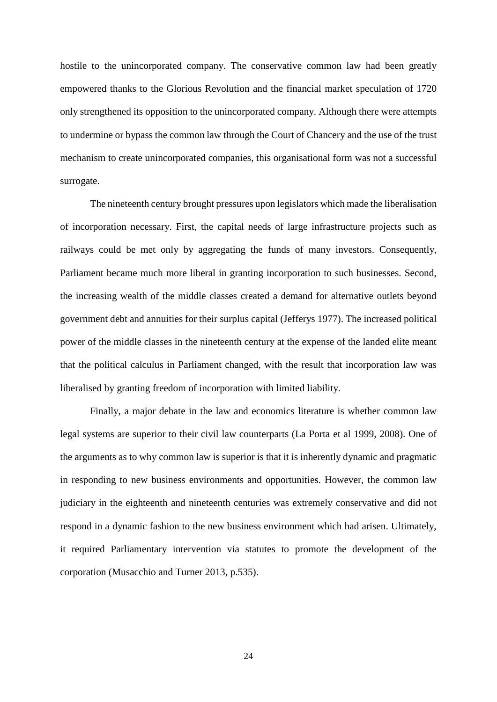hostile to the unincorporated company. The conservative common law had been greatly empowered thanks to the Glorious Revolution and the financial market speculation of 1720 only strengthened its opposition to the unincorporated company. Although there were attempts to undermine or bypass the common law through the Court of Chancery and the use of the trust mechanism to create unincorporated companies, this organisational form was not a successful surrogate.

The nineteenth century brought pressures upon legislators which made the liberalisation of incorporation necessary. First, the capital needs of large infrastructure projects such as railways could be met only by aggregating the funds of many investors. Consequently, Parliament became much more liberal in granting incorporation to such businesses. Second, the increasing wealth of the middle classes created a demand for alternative outlets beyond government debt and annuities for their surplus capital (Jefferys 1977). The increased political power of the middle classes in the nineteenth century at the expense of the landed elite meant that the political calculus in Parliament changed, with the result that incorporation law was liberalised by granting freedom of incorporation with limited liability.

Finally, a major debate in the law and economics literature is whether common law legal systems are superior to their civil law counterparts (La Porta et al 1999, 2008). One of the arguments as to why common law is superior is that it is inherently dynamic and pragmatic in responding to new business environments and opportunities. However, the common law judiciary in the eighteenth and nineteenth centuries was extremely conservative and did not respond in a dynamic fashion to the new business environment which had arisen. Ultimately, it required Parliamentary intervention via statutes to promote the development of the corporation (Musacchio and Turner 2013, p.535).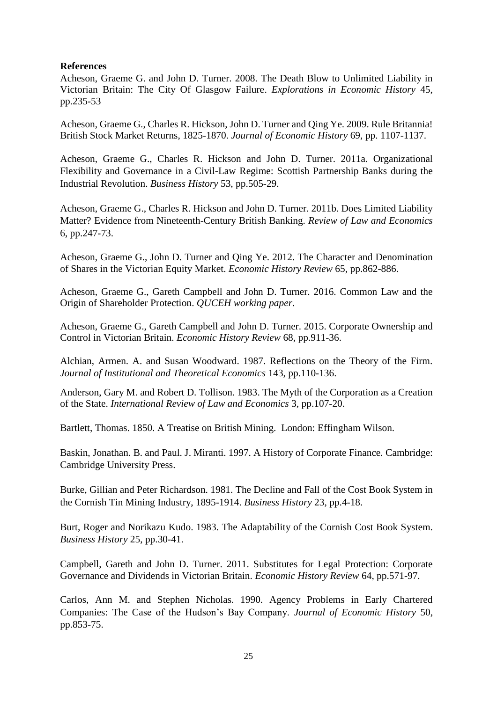## **References**

Acheson, Graeme G. and John D. Turner. 2008. The Death Blow to Unlimited Liability in Victorian Britain: The City Of Glasgow Failure. *Explorations in Economic History* 45, pp.235-53

Acheson, Graeme G., Charles R. Hickson, John D. Turner and Qing Ye. 2009. Rule Britannia! British Stock Market Returns, 1825-1870. *Journal of Economic History* 69, pp. 1107-1137.

Acheson, Graeme G., Charles R. Hickson and John D. Turner. 2011a. Organizational Flexibility and Governance in a Civil-Law Regime: Scottish Partnership Banks during the Industrial Revolution. *Business History* 53, pp.505-29.

Acheson, Graeme G., Charles R. Hickson and John D. Turner. 2011b. Does Limited Liability Matter? Evidence from Nineteenth-Century British Banking. *Review of Law and Economics* 6, pp.247-73.

Acheson, Graeme G., John D. Turner and Qing Ye. 2012. The Character and Denomination of Shares in the Victorian Equity Market. *Economic History Review* 65, pp.862-886.

Acheson, Graeme G., Gareth Campbell and John D. Turner. 2016. Common Law and the Origin of Shareholder Protection. *QUCEH working paper*.

Acheson, Graeme G., Gareth Campbell and John D. Turner. 2015. Corporate Ownership and Control in Victorian Britain. *Economic History Review* 68, pp.911-36.

Alchian, Armen. A. and Susan Woodward. 1987. Reflections on the Theory of the Firm. *Journal of Institutional and Theoretical Economics* 143, pp.110-136.

Anderson, Gary M. and Robert D. Tollison. 1983. The Myth of the Corporation as a Creation of the State. *International Review of Law and Economics* 3, pp.107-20.

Bartlett, Thomas. 1850. A Treatise on British Mining. London: Effingham Wilson.

Baskin, Jonathan. B. and Paul. J. Miranti. 1997. A History of Corporate Finance*.* Cambridge: Cambridge University Press.

Burke, Gillian and Peter Richardson. 1981. The Decline and Fall of the Cost Book System in the Cornish Tin Mining Industry, 1895-1914. *Business History* 23, pp.4-18.

Burt, Roger and Norikazu Kudo. 1983. The Adaptability of the Cornish Cost Book System. *Business History* 25, pp.30-41.

Campbell, Gareth and John D. Turner. 2011. Substitutes for Legal Protection: Corporate Governance and Dividends in Victorian Britain. *Economic History Review* 64, pp.571-97.

Carlos, Ann M. and Stephen Nicholas. 1990. Agency Problems in Early Chartered Companies: The Case of the Hudson's Bay Company. *Journal of Economic History* 50, pp.853-75.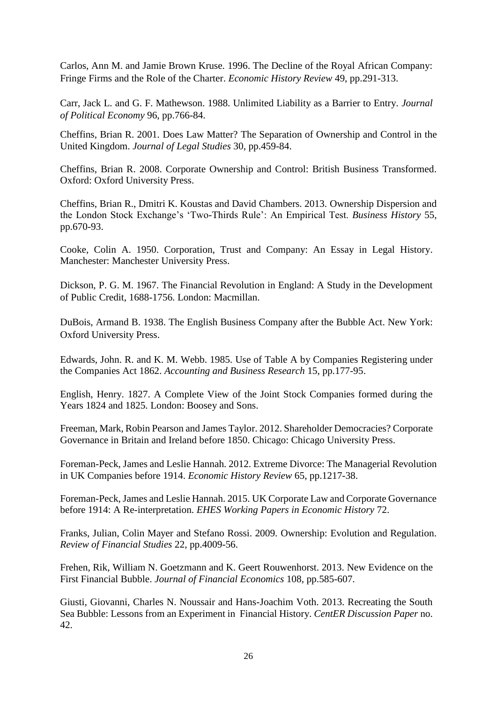Carlos, Ann M. and Jamie Brown Kruse. 1996. The Decline of the Royal African Company: Fringe Firms and the Role of the Charter. *Economic History Review* 49, pp.291-313.

Carr, Jack L. and G. F. Mathewson. 1988. Unlimited Liability as a Barrier to Entry. *Journal of Political Economy* 96, pp.766-84.

Cheffins, Brian R. 2001. Does Law Matter? The Separation of Ownership and Control in the United Kingdom. *Journal of Legal Studies* 30, pp.459-84.

Cheffins, Brian R. 2008. Corporate Ownership and Control: British Business Transformed. Oxford: Oxford University Press.

Cheffins, Brian R., Dmitri K. Koustas and David Chambers. 2013. Ownership Dispersion and the London Stock Exchange's 'Two-Thirds Rule': An Empirical Test. *Business History* 55, pp.670-93.

Cooke, Colin A. 1950. Corporation, Trust and Company: An Essay in Legal History. Manchester: Manchester University Press.

Dickson, P. G. M. 1967. The Financial Revolution in England: A Study in the Development of Public Credit, 1688-1756. London: Macmillan.

DuBois, Armand B. 1938. The English Business Company after the Bubble Act. New York: Oxford University Press.

Edwards, John. R. and K. M. Webb. 1985. Use of Table A by Companies Registering under the Companies Act 1862. *Accounting and Business Research* 15, pp.177-95.

English, Henry. 1827. A Complete View of the Joint Stock Companies formed during the Years 1824 and 1825. London: Boosey and Sons.

Freeman, Mark, Robin Pearson and James Taylor. 2012. Shareholder Democracies? Corporate Governance in Britain and Ireland before 1850. Chicago: Chicago University Press.

Foreman-Peck, James and Leslie Hannah. 2012. Extreme Divorce: The Managerial Revolution in UK Companies before 1914. *Economic History Review* 65, pp.1217-38.

Foreman-Peck, James and Leslie Hannah. 2015. UK Corporate Law and Corporate Governance before 1914: A Re-interpretation. *EHES Working Papers in Economic History* 72.

Franks, Julian, Colin Mayer and Stefano Rossi. 2009. Ownership: Evolution and Regulation. *Review of Financial Studies* 22, pp.4009-56.

Frehen, Rik, William N. Goetzmann and K. Geert Rouwenhorst. 2013. New Evidence on the First Financial Bubble. *Journal of Financial Economics* 108, pp.585-607.

Giusti, Giovanni, Charles N. Noussair and Hans-Joachim Voth. 2013. Recreating the South Sea Bubble: Lessons from an Experiment in Financial History. *CentER Discussion Paper* no. 42.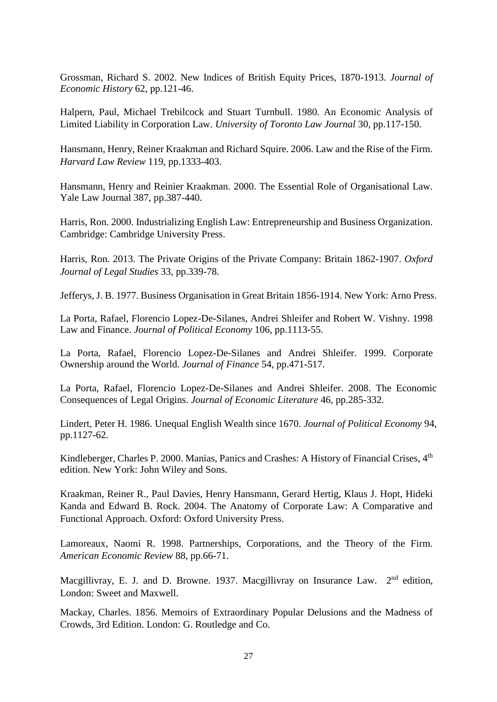Grossman, Richard S. 2002. New Indices of British Equity Prices, 1870-1913. *Journal of Economic History* 62, pp.121-46.

Halpern, Paul, Michael Trebilcock and Stuart Turnbull. 1980. An Economic Analysis of Limited Liability in Corporation Law. *University of Toronto Law Journal* 30, pp.117-150.

Hansmann, Henry, Reiner Kraakman and Richard Squire. 2006. Law and the Rise of the Firm. *Harvard Law Review* 119, pp.1333-403.

Hansmann, Henry and Reinier Kraakman. 2000. The Essential Role of Organisational Law. Yale Law Journal 387, pp.387-440.

Harris, Ron. 2000. Industrializing English Law: Entrepreneurship and Business Organization. Cambridge: Cambridge University Press.

Harris, Ron. 2013. The Private Origins of the Private Company: Britain 1862-1907. *Oxford Journal of Legal Studies* 33, pp.339-78.

Jefferys, J. B. 1977. Business Organisation in Great Britain 1856-1914. New York: Arno Press.

La Porta, Rafael, Florencio Lopez-De-Silanes, Andrei Shleifer and Robert W. Vishny. 1998 Law and Finance. *Journal of Political Economy* 106, pp.1113-55.

La Porta, Rafael, Florencio Lopez-De-Silanes and Andrei Shleifer. 1999. Corporate Ownership around the World. *Journal of Finance* 54, pp.471-517.

La Porta, Rafael, Florencio Lopez-De-Silanes and Andrei Shleifer. 2008. The Economic Consequences of Legal Origins. *Journal of Economic Literature* 46, pp.285-332.

Lindert, Peter H. 1986. Unequal English Wealth since 1670. *Journal of Political Economy* 94, pp.1127-62.

Kindleberger, Charles P. 2000. Manias, Panics and Crashes: A History of Financial Crises, 4<sup>th</sup> edition. New York: John Wiley and Sons.

Kraakman, Reiner R., Paul Davies, Henry Hansmann, Gerard Hertig, Klaus J. Hopt, Hideki Kanda and Edward B. Rock. 2004. The Anatomy of Corporate Law: A Comparative and Functional Approach. Oxford: Oxford University Press.

Lamoreaux, Naomi R. 1998. Partnerships, Corporations, and the Theory of the Firm. *American Economic Review* 88, pp.66-71.

Macgillivray, E. J. and D. Browne. 1937. Macgillivray on Insurance Law.  $2<sup>nd</sup>$  edition, London: Sweet and Maxwell.

Mackay, Charles. 1856. Memoirs of Extraordinary Popular Delusions and the Madness of Crowds, 3rd Edition. London: G. Routledge and Co.